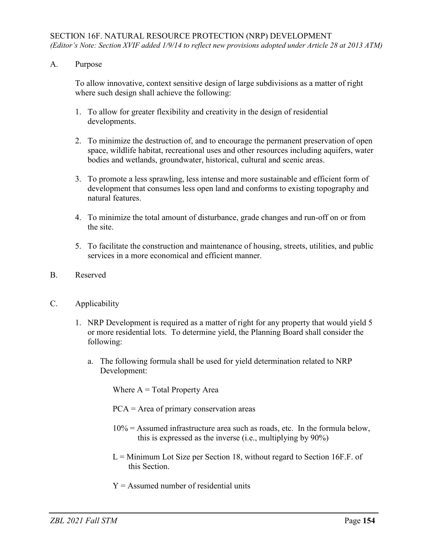A. Purpose

To allow innovative, context sensitive design of large subdivisions as a matter of right where such design shall achieve the following:

- 1. To allow for greater flexibility and creativity in the design of residential developments.
- 2. To minimize the destruction of, and to encourage the permanent preservation of open space, wildlife habitat, recreational uses and other resources including aquifers, water bodies and wetlands, groundwater, historical, cultural and scenic areas.
- 3. To promote a less sprawling, less intense and more sustainable and efficient form of development that consumes less open land and conforms to existing topography and natural features.
- 4. To minimize the total amount of disturbance, grade changes and run-off on or from the site.
- 5. To facilitate the construction and maintenance of housing, streets, utilities, and public services in a more economical and efficient manner.
- B. Reserved
- C. Applicability
	- 1. NRP Development is required as a matter of right for any property that would yield 5 or more residential lots. To determine yield, the Planning Board shall consider the following:
		- a. The following formula shall be used for yield determination related to NRP Development:

Where  $A = Total Property Area$ 

PCA = Area of primary conservation areas

- $10\%$  = Assumed infrastructure area such as roads, etc. In the formula below, this is expressed as the inverse (i.e., multiplying by 90%)
- $L =$  Minimum Lot Size per Section 18, without regard to Section 16F.F. of this Section.
- $Y =$  Assumed number of residential units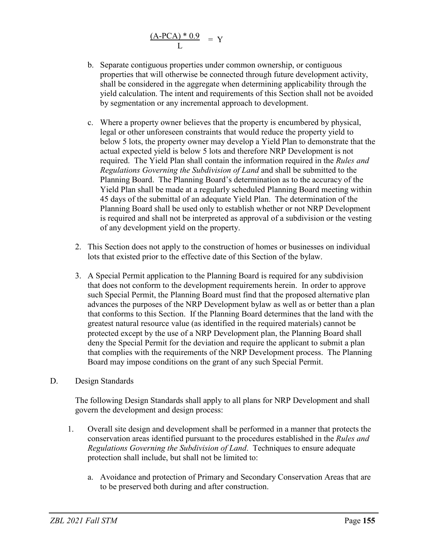$$
\frac{(A\text{-PCA}) * 0.9}{L} = Y
$$

- b. Separate contiguous properties under common ownership, or contiguous properties that will otherwise be connected through future development activity, shall be considered in the aggregate when determining applicability through the yield calculation. The intent and requirements of this Section shall not be avoided by segmentation or any incremental approach to development.
- c. Where a property owner believes that the property is encumbered by physical, legal or other unforeseen constraints that would reduce the property yield to below 5 lots, the property owner may develop a Yield Plan to demonstrate that the actual expected yield is below 5 lots and therefore NRP Development is not required. The Yield Plan shall contain the information required in the *Rules and Regulations Governing the Subdivision of Land* and shall be submitted to the Planning Board. The Planning Board's determination as to the accuracy of the Yield Plan shall be made at a regularly scheduled Planning Board meeting within 45 days of the submittal of an adequate Yield Plan. The determination of the Planning Board shall be used only to establish whether or not NRP Development is required and shall not be interpreted as approval of a subdivision or the vesting of any development yield on the property.
- 2. This Section does not apply to the construction of homes or businesses on individual lots that existed prior to the effective date of this Section of the bylaw.
- 3. A Special Permit application to the Planning Board is required for any subdivision that does not conform to the development requirements herein. In order to approve such Special Permit, the Planning Board must find that the proposed alternative plan advances the purposes of the NRP Development bylaw as well as or better than a plan that conforms to this Section. If the Planning Board determines that the land with the greatest natural resource value (as identified in the required materials) cannot be protected except by the use of a NRP Development plan, the Planning Board shall deny the Special Permit for the deviation and require the applicant to submit a plan that complies with the requirements of the NRP Development process. The Planning Board may impose conditions on the grant of any such Special Permit.
- D. Design Standards

The following Design Standards shall apply to all plans for NRP Development and shall govern the development and design process:

- 1. Overall site design and development shall be performed in a manner that protects the conservation areas identified pursuant to the procedures established in the *Rules and Regulations Governing the Subdivision of Land*. Techniques to ensure adequate protection shall include, but shall not be limited to:
	- a. Avoidance and protection of Primary and Secondary Conservation Areas that are to be preserved both during and after construction.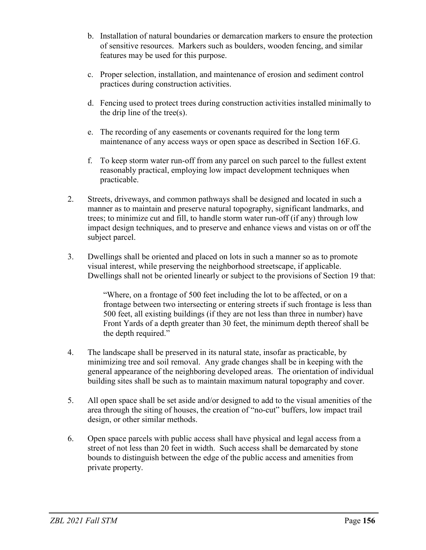- b. Installation of natural boundaries or demarcation markers to ensure the protection of sensitive resources. Markers such as boulders, wooden fencing, and similar features may be used for this purpose.
- c. Proper selection, installation, and maintenance of erosion and sediment control practices during construction activities.
- d. Fencing used to protect trees during construction activities installed minimally to the drip line of the tree(s).
- e. The recording of any easements or covenants required for the long term maintenance of any access ways or open space as described in Section 16F.G.
- f. To keep storm water run-off from any parcel on such parcel to the fullest extent reasonably practical, employing low impact development techniques when practicable.
- 2. Streets, driveways, and common pathways shall be designed and located in such a manner as to maintain and preserve natural topography, significant landmarks, and trees; to minimize cut and fill, to handle storm water run-off (if any) through low impact design techniques, and to preserve and enhance views and vistas on or off the subject parcel.
- 3. Dwellings shall be oriented and placed on lots in such a manner so as to promote visual interest, while preserving the neighborhood streetscape, if applicable. Dwellings shall not be oriented linearly or subject to the provisions of Section 19 that:

"Where, on a frontage of 500 feet including the lot to be affected, or on a frontage between two intersecting or entering streets if such frontage is less than 500 feet, all existing buildings (if they are not less than three in number) have Front Yards of a depth greater than 30 feet, the minimum depth thereof shall be the depth required."

- 4. The landscape shall be preserved in its natural state, insofar as practicable, by minimizing tree and soil removal. Any grade changes shall be in keeping with the general appearance of the neighboring developed areas. The orientation of individual building sites shall be such as to maintain maximum natural topography and cover.
- 5. All open space shall be set aside and/or designed to add to the visual amenities of the area through the siting of houses, the creation of "no-cut" buffers, low impact trail design, or other similar methods.
- 6. Open space parcels with public access shall have physical and legal access from a street of not less than 20 feet in width. Such access shall be demarcated by stone bounds to distinguish between the edge of the public access and amenities from private property.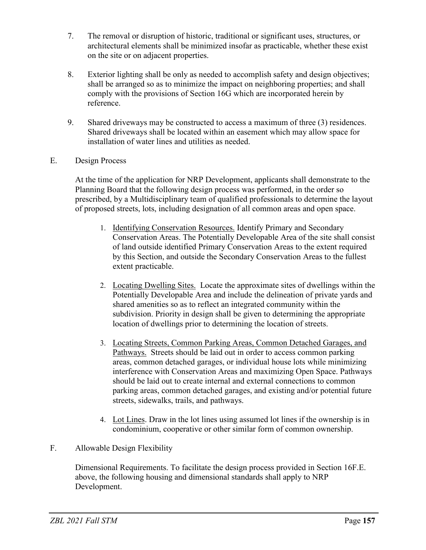- 7. The removal or disruption of historic, traditional or significant uses, structures, or architectural elements shall be minimized insofar as practicable, whether these exist on the site or on adjacent properties.
- 8. Exterior lighting shall be only as needed to accomplish safety and design objectives; shall be arranged so as to minimize the impact on neighboring properties; and shall comply with the provisions of Section 16G which are incorporated herein by reference.
- 9. Shared driveways may be constructed to access a maximum of three (3) residences. Shared driveways shall be located within an easement which may allow space for installation of water lines and utilities as needed.
- E. Design Process

At the time of the application for NRP Development, applicants shall demonstrate to the Planning Board that the following design process was performed, in the order so prescribed, by a Multidisciplinary team of qualified professionals to determine the layout of proposed streets, lots, including designation of all common areas and open space.

- 1. Identifying Conservation Resources. Identify Primary and Secondary Conservation Areas. The Potentially Developable Area of the site shall consist of land outside identified Primary Conservation Areas to the extent required by this Section, and outside the Secondary Conservation Areas to the fullest extent practicable.
- 2. Locating Dwelling Sites. Locate the approximate sites of dwellings within the Potentially Developable Area and include the delineation of private yards and shared amenities so as to reflect an integrated community within the subdivision. Priority in design shall be given to determining the appropriate location of dwellings prior to determining the location of streets.
- 3. Locating Streets, Common Parking Areas, Common Detached Garages, and Pathways. Streets should be laid out in order to access common parking areas, common detached garages, or individual house lots while minimizing interference with Conservation Areas and maximizing Open Space. Pathways should be laid out to create internal and external connections to common parking areas, common detached garages, and existing and/or potential future streets, sidewalks, trails, and pathways.
- 4. Lot Lines. Draw in the lot lines using assumed lot lines if the ownership is in condominium, cooperative or other similar form of common ownership.

## F. Allowable Design Flexibility

Dimensional Requirements. To facilitate the design process provided in Section 16F.E. above, the following housing and dimensional standards shall apply to NRP Development.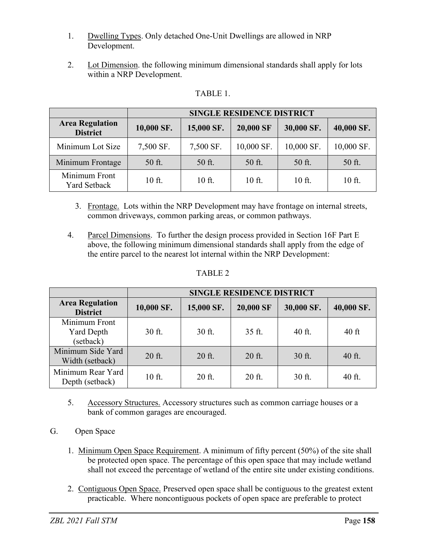- 1. Dwelling Types. Only detached One-Unit Dwellings are allowed in NRP Development.
- 2. Lot Dimension. the following minimum dimensional standards shall apply for lots within a NRP Development.

| ונדו |  |
|------|--|
|------|--|

|                                           | <b>SINGLE RESIDENCE DISTRICT</b> |            |            |            |            |  |
|-------------------------------------------|----------------------------------|------------|------------|------------|------------|--|
| <b>Area Regulation</b><br><b>District</b> | 10,000 SF.                       | 15,000 SF. | 20,000 SF  | 30,000 SF. | 40,000 SF. |  |
| Minimum Lot Size                          | 7,500 SF.                        | 7,500 SF.  | 10,000 SF. | 10,000 SF. | 10,000 SF. |  |
| Minimum Frontage                          | 50 ft.                           | 50 ft.     | 50 ft.     | 50 ft.     | 50 ft.     |  |
| Minimum Front<br>Yard Setback             | 10 ft.                           | 10 ft.     | 10 ft.     | 10 ft.     | 10 ft.     |  |

- 3. Frontage. Lots within the NRP Development may have frontage on internal streets, common driveways, common parking areas, or common pathways.
- 4. Parcel Dimensions. To further the design process provided in Section 16F Part E above, the following minimum dimensional standards shall apply from the edge of the entire parcel to the nearest lot internal within the NRP Development:

|--|--|

|                                                 | <b>SINGLE RESIDENCE DISTRICT</b> |            |           |            |            |  |  |
|-------------------------------------------------|----------------------------------|------------|-----------|------------|------------|--|--|
| <b>Area Regulation</b><br><b>District</b>       | 10,000 SF.                       | 15,000 SF. | 20,000 SF | 30,000 SF. | 40,000 SF. |  |  |
| Minimum Front<br><b>Yard Depth</b><br>(setback) | 30 ft.                           | 30 ft.     | 35 ft.    | 40 ft.     | $40$ ft    |  |  |
| Minimum Side Yard<br>Width (setback)            | 20 ft.                           | 20 ft.     | 20 ft.    | 30 ft.     | 40 ft.     |  |  |
| Minimum Rear Yard<br>Depth (setback)            | 10 ft.                           | 20 ft.     | $20$ ft.  | 30 ft.     | 40 ft.     |  |  |

- 5. Accessory Structures. Accessory structures such as common carriage houses or a bank of common garages are encouraged.
- G. Open Space
	- 1. Minimum Open Space Requirement. A minimum of fifty percent (50%) of the site shall be protected open space. The percentage of this open space that may include wetland shall not exceed the percentage of wetland of the entire site under existing conditions.
	- 2. Contiguous Open Space. Preserved open space shall be contiguous to the greatest extent practicable. Where noncontiguous pockets of open space are preferable to protect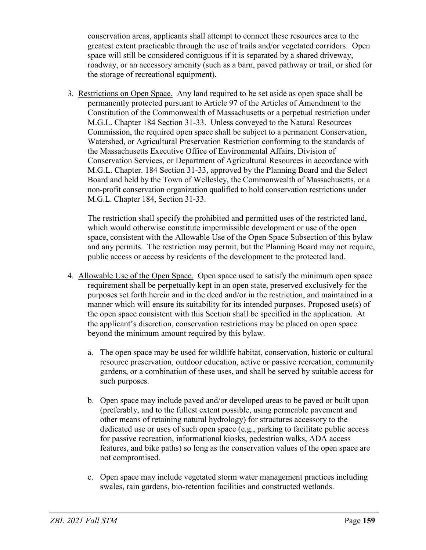conservation areas, applicants shall attempt to connect these resources area to the greatest extent practicable through the use of trails and/or vegetated corridors. Open space will still be considered contiguous if it is separated by a shared driveway, roadway, or an accessory amenity (such as a barn, paved pathway or trail, or shed for the storage of recreational equipment).

3. Restrictions on Open Space. Any land required to be set aside as open space shall be permanently protected pursuant to Article 97 of the Articles of Amendment to the Constitution of the Commonwealth of Massachusetts or a perpetual restriction under M.G.L. Chapter 184 Section 31-33. Unless conveyed to the Natural Resources Commission, the required open space shall be subject to a permanent Conservation, Watershed, or Agricultural Preservation Restriction conforming to the standards of the Massachusetts Executive Office of Environmental Affairs, Division of Conservation Services, or Department of Agricultural Resources in accordance with M.G.L. Chapter. 184 Section 31-33, approved by the Planning Board and the Select Board and held by the Town of Wellesley, the Commonwealth of Massachusetts, or a non-profit conservation organization qualified to hold conservation restrictions under M.G.L. Chapter 184, Section 31-33.

The restriction shall specify the prohibited and permitted uses of the restricted land, which would otherwise constitute impermissible development or use of the open space, consistent with the Allowable Use of the Open Space Subsection of this bylaw and any permits. The restriction may permit, but the Planning Board may not require, public access or access by residents of the development to the protected land.

- 4. Allowable Use of the Open Space. Open space used to satisfy the minimum open space requirement shall be perpetually kept in an open state, preserved exclusively for the purposes set forth herein and in the deed and/or in the restriction, and maintained in a manner which will ensure its suitability for its intended purposes. Proposed use(s) of the open space consistent with this Section shall be specified in the application. At the applicant's discretion, conservation restrictions may be placed on open space beyond the minimum amount required by this bylaw.
	- a. The open space may be used for wildlife habitat, conservation, historic or cultural resource preservation, outdoor education, active or passive recreation, community gardens, or a combination of these uses, and shall be served by suitable access for such purposes.
	- b. Open space may include paved and/or developed areas to be paved or built upon (preferably, and to the fullest extent possible, using permeable pavement and other means of retaining natural hydrology) for structures accessory to the dedicated use or uses of such open space  $(e.g.,$  parking to facilitate public access for passive recreation, informational kiosks, pedestrian walks, ADA access features, and bike paths) so long as the conservation values of the open space are not compromised.
	- c. Open space may include vegetated storm water management practices including swales, rain gardens, bio-retention facilities and constructed wetlands.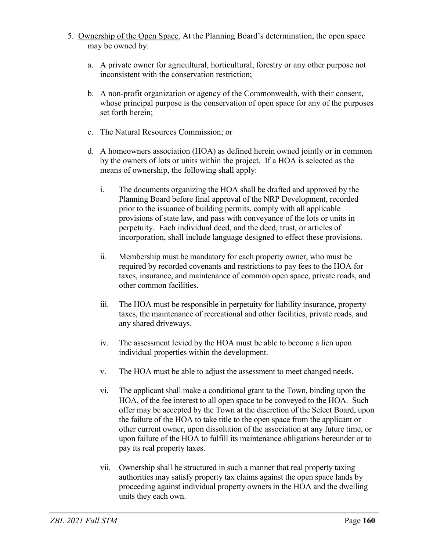- 5. Ownership of the Open Space. At the Planning Board's determination, the open space may be owned by:
	- a. A private owner for agricultural, horticultural, forestry or any other purpose not inconsistent with the conservation restriction;
	- b. A non-profit organization or agency of the Commonwealth, with their consent, whose principal purpose is the conservation of open space for any of the purposes set forth herein;
	- c. The Natural Resources Commission; or
	- d. A homeowners association (HOA) as defined herein owned jointly or in common by the owners of lots or units within the project. If a HOA is selected as the means of ownership, the following shall apply:
		- i. The documents organizing the HOA shall be drafted and approved by the Planning Board before final approval of the NRP Development, recorded prior to the issuance of building permits, comply with all applicable provisions of state law, and pass with conveyance of the lots or units in perpetuity. Each individual deed, and the deed, trust, or articles of incorporation, shall include language designed to effect these provisions.
		- ii. Membership must be mandatory for each property owner, who must be required by recorded covenants and restrictions to pay fees to the HOA for taxes, insurance, and maintenance of common open space, private roads, and other common facilities.
		- iii. The HOA must be responsible in perpetuity for liability insurance, property taxes, the maintenance of recreational and other facilities, private roads, and any shared driveways.
		- iv. The assessment levied by the HOA must be able to become a lien upon individual properties within the development.
		- v. The HOA must be able to adjust the assessment to meet changed needs.
		- vi. The applicant shall make a conditional grant to the Town, binding upon the HOA, of the fee interest to all open space to be conveyed to the HOA. Such offer may be accepted by the Town at the discretion of the Select Board, upon the failure of the HOA to take title to the open space from the applicant or other current owner, upon dissolution of the association at any future time, or upon failure of the HOA to fulfill its maintenance obligations hereunder or to pay its real property taxes.
		- vii. Ownership shall be structured in such a manner that real property taxing authorities may satisfy property tax claims against the open space lands by proceeding against individual property owners in the HOA and the dwelling units they each own.